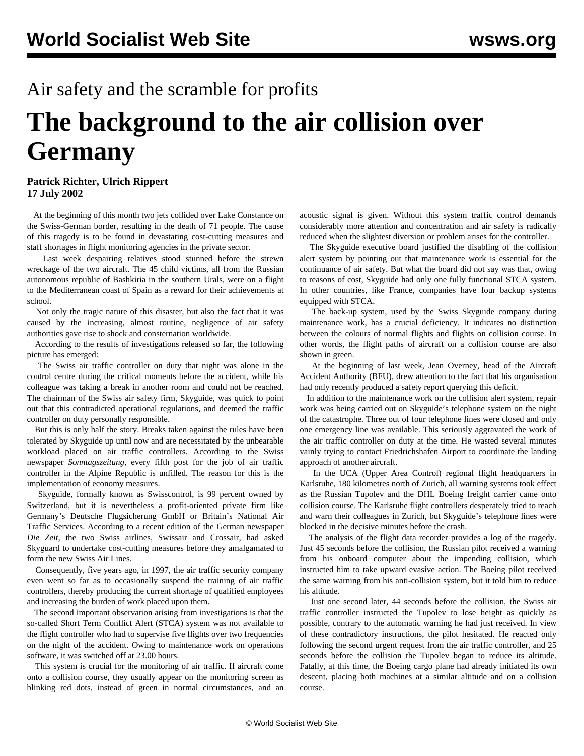## Air safety and the scramble for profits

## **The background to the air collision over Germany**

## **Patrick Richter, Ulrich Rippert 17 July 2002**

 At the beginning of this month two jets collided over Lake Constance on the Swiss-German border, resulting in the death of 71 people. The cause of this tragedy is to be found in devastating cost-cutting measures and staff shortages in flight monitoring agencies in the private sector.

 Last week despairing relatives stood stunned before the strewn wreckage of the two aircraft. The 45 child victims, all from the Russian autonomous republic of Bashkiria in the southern Urals, were on a flight to the Mediterranean coast of Spain as a reward for their achievements at school.

 Not only the tragic nature of this disaster, but also the fact that it was caused by the increasing, almost routine, negligence of air safety authorities gave rise to shock and consternation worldwide.

 According to the results of investigations released so far, the following picture has emerged:

 The Swiss air traffic controller on duty that night was alone in the control centre during the critical moments before the accident, while his colleague was taking a break in another room and could not be reached. The chairman of the Swiss air safety firm, Skyguide, was quick to point out that this contradicted operational regulations, and deemed the traffic controller on duty personally responsible.

 But this is only half the story. Breaks taken against the rules have been tolerated by Skyguide up until now and are necessitated by the unbearable workload placed on air traffic controllers. According to the Swiss newspaper *Sonntagszeitung*, every fifth post for the job of air traffic controller in the Alpine Republic is unfilled. The reason for this is the implementation of economy measures.

 Skyguide, formally known as Swisscontrol, is 99 percent owned by Switzerland, but it is nevertheless a profit-oriented private firm like Germany's Deutsche Flugsicherung GmbH or Britain's National Air Traffic Services. According to a recent edition of the German newspaper *Die Zeit*, the two Swiss airlines, Swissair and Crossair, had asked Skyguard to undertake cost-cutting measures before they amalgamated to form the new Swiss Air Lines.

 Consequently, five years ago, in 1997, the air traffic security company even went so far as to occasionally suspend the training of air traffic controllers, thereby producing the current shortage of qualified employees and increasing the burden of work placed upon them.

 The second important observation arising from investigations is that the so-called Short Term Conflict Alert (STCA) system was not available to the flight controller who had to supervise five flights over two frequencies on the night of the accident. Owing to maintenance work on operations software, it was switched off at 23.00 hours.

 This system is crucial for the monitoring of air traffic. If aircraft come onto a collision course, they usually appear on the monitoring screen as blinking red dots, instead of green in normal circumstances, and an

acoustic signal is given. Without this system traffic control demands considerably more attention and concentration and air safety is radically reduced when the slightest diversion or problem arises for the controller.

 The Skyguide executive board justified the disabling of the collision alert system by pointing out that maintenance work is essential for the continuance of air safety. But what the board did not say was that, owing to reasons of cost, Skyguide had only one fully functional STCA system. In other countries, like France, companies have four backup systems equipped with STCA.

 The back-up system, used by the Swiss Skyguide company during maintenance work, has a crucial deficiency. It indicates no distinction between the colours of normal flights and flights on collision course. In other words, the flight paths of aircraft on a collision course are also shown in green.

 At the beginning of last week, Jean Overney, head of the Aircraft Accident Authority (BFU), drew attention to the fact that his organisation had only recently produced a safety report querying this deficit.

 In addition to the maintenance work on the collision alert system, repair work was being carried out on Skyguide's telephone system on the night of the catastrophe. Three out of four telephone lines were closed and only one emergency line was available. This seriously aggravated the work of the air traffic controller on duty at the time. He wasted several minutes vainly trying to contact Friedrichshafen Airport to coordinate the landing approach of another aircraft.

 In the UCA (Upper Area Control) regional flight headquarters in Karlsruhe, 180 kilometres north of Zurich, all warning systems took effect as the Russian Tupolev and the DHL Boeing freight carrier came onto collision course. The Karlsruhe flight controllers desperately tried to reach and warn their colleagues in Zurich, but Skyguide's telephone lines were blocked in the decisive minutes before the crash.

 The analysis of the flight data recorder provides a log of the tragedy. Just 45 seconds before the collision, the Russian pilot received a warning from his onboard computer about the impending collision, which instructed him to take upward evasive action. The Boeing pilot received the same warning from his anti-collision system, but it told him to reduce his altitude.

 Just one second later, 44 seconds before the collision, the Swiss air traffic controller instructed the Tupolev to lose height as quickly as possible, contrary to the automatic warning he had just received. In view of these contradictory instructions, the pilot hesitated. He reacted only following the second urgent request from the air traffic controller, and 25 seconds before the collision the Tupolev began to reduce its altitude. Fatally, at this time, the Boeing cargo plane had already initiated its own descent, placing both machines at a similar altitude and on a collision course.